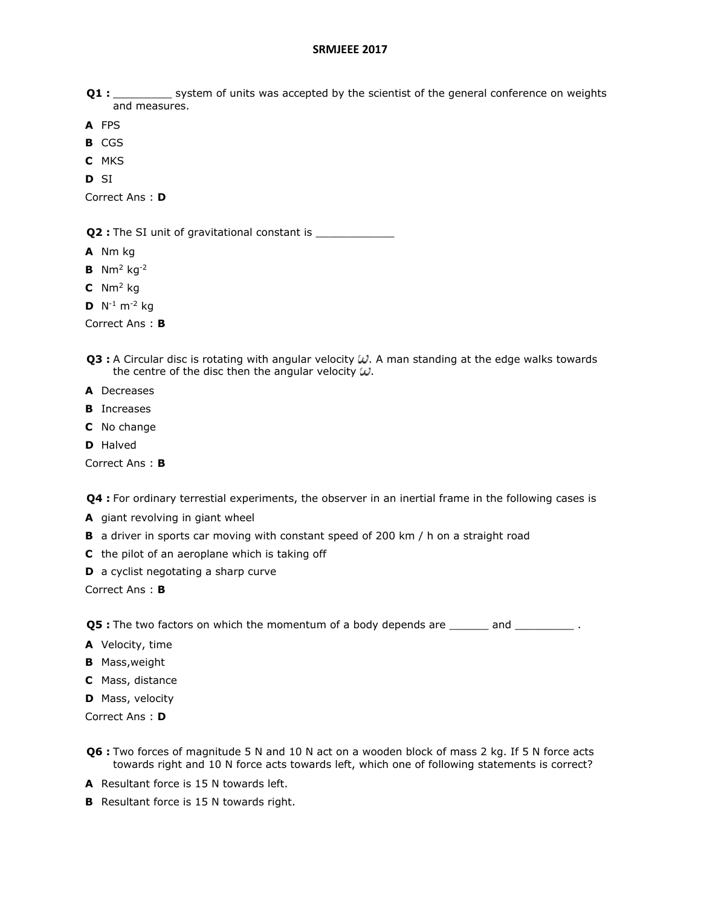- Q1 : \_\_\_\_\_\_\_\_\_ system of units was accepted by the scientist of the general conference on weights and measures.
- **A** FPS
- **B** CGS
- **C** MKS
- **D** SI

Correct Ans : **D**

**Q2** : The SI unit of gravitational constant is \_\_\_\_\_\_\_\_\_\_\_\_\_\_\_\_\_\_\_\_\_\_\_\_\_\_\_\_\_\_\_\_\_\_

- **A** Nm kg
- **B** Nm<sup>2</sup> kg-2
- **C** Nm<sup>2</sup> kg
- **D**  $N^{-1}$  m<sup>-2</sup> kg

Correct Ans : **B**

- Q3 : A Circular disc is rotating with angular velocity  $\omega$ . A man standing at the edge walks towards the centre of the disc then the angular velocity  $\omega$ .
- **A** Decreases
- **B** Increases
- **C** No change
- **D** Halved

Correct Ans : **B**

**Q4 :** For ordinary terrestial experiments, the observer in an inertial frame in the following cases is

- **A** giant revolving in giant wheel
- **B** a driver in sports car moving with constant speed of 200 km / h on a straight road
- **C** the pilot of an aeroplane which is taking off
- **D** a cyclist negotating a sharp curve

Correct Ans : **B**

**Q5 :** The two factors on which the momentum of a body depends are and  $\qquad$ .

- **A** Velocity, time
- **B** Mass,weight
- **C** Mass, distance
- **D** Mass, velocity

Correct Ans : **D**

- **Q6 :** Two forces of magnitude 5 N and 10 N act on a wooden block of mass 2 kg. If 5 N force acts towards right and 10 N force acts towards left, which one of following statements is correct?
- **A** Resultant force is 15 N towards left.
- **B** Resultant force is 15 N towards right.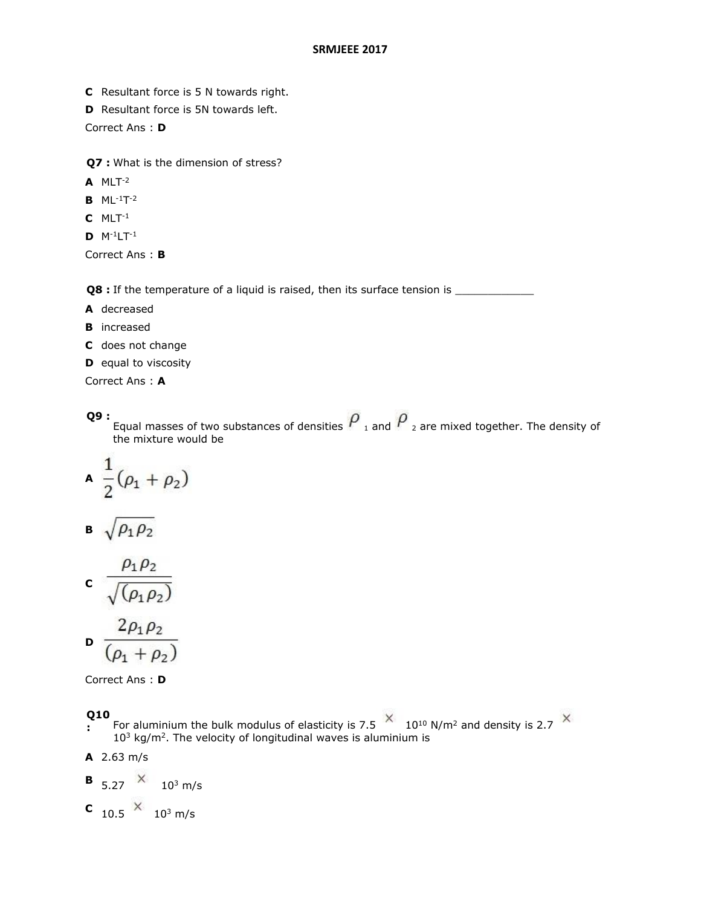- **C** Resultant force is 5 N towards right.
- **D** Resultant force is 5N towards left.

Correct Ans : **D**

**Q7 :** What is the dimension of stress?

- **A** MLT-2
- **B** ML-1T -2
- **C** MLT-1
- **D** M-1LT-1

Correct Ans : **B**

**Q8** : If the temperature of a liquid is raised, then its surface tension is \_\_\_\_\_\_\_

- **A** decreased
- **B** increased
- **C** does not change
- **D** equal to viscosity
- Correct Ans : **A**

#### **Q9 :** Equal masses of two substances of densities  $r_{1}$  and  $r_{2}$  are mixed together. The density of the mixture would be

$$
\mathbf{A} \ \frac{1}{2}(\rho_1+\rho_2)
$$

$$
\mathbf{B} \sqrt{\rho_1 \rho_2}
$$

$$
c \frac{\rho_1 \rho_2}{\sqrt{(\rho_1 \rho_2)}}
$$

**State College** 

$$
\mathbf{D} \frac{2\rho_1 \rho_2}{(\rho_1 + \rho_2)}
$$

Correct Ans : **D**

#### **Q10**

 $\cdot$  For aluminium the bulk modulus of elasticity is 7.5  $\sim$  10<sup>10</sup> N/m<sup>2</sup> and density is 2.7  $10<sup>3</sup>$  kg/m<sup>2</sup>. The velocity of longitudinal waves is aluminium is

**A** 2.63 m/s

$$
B_{5.27} \times 10^3 \text{ m/s}
$$

**C**  $_{10.5}$   $\times$   $_{10^3}$  m/s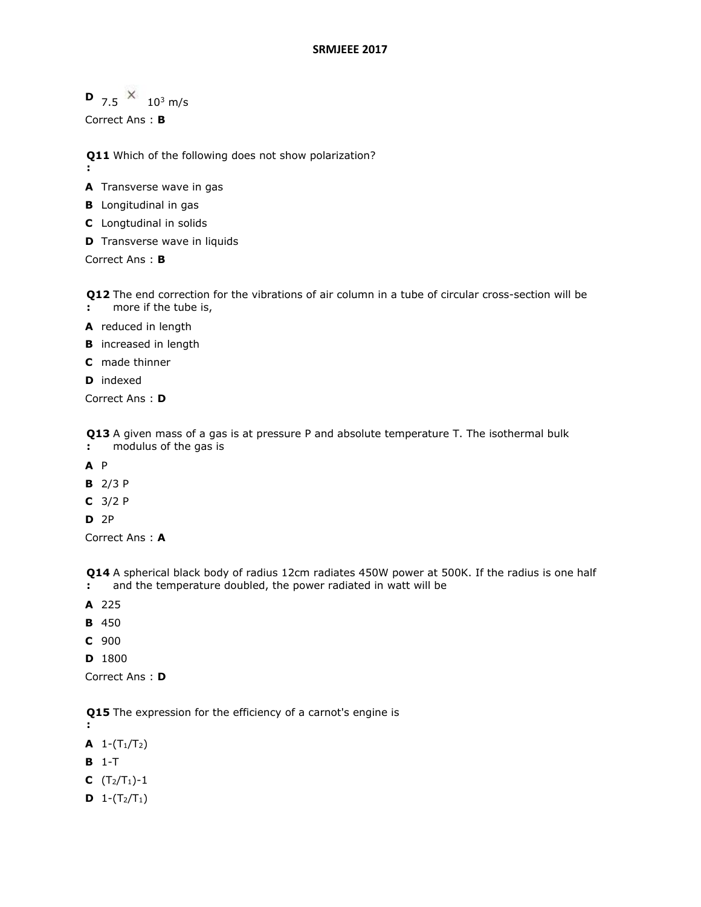**D**  $7.5 \times 10^3$  m/s

Correct Ans : **B**

**Q11**  Which of the following does not show polarization?

- **:**
- **A** Transverse wave in gas
- **B** Longitudinal in gas
- **C** Longtudinal in solids
- **D** Transverse wave in liquids

Correct Ans : **B**

**Q12**  The end correction for the vibrations of air column in a tube of circular cross-section will be

- **:** more if the tube is,
- **A** reduced in length
- **B** increased in length
- **C** made thinner
- **D** indexed

Correct Ans : **D**

**Q13**  A given mass of a gas is at pressure P and absolute temperature T. The isothermal bulk

- **:** modulus of the gas is
- **A** P
- **B** 2/3 P
- **C** 3/2 P
- **D** 2P

Correct Ans : **A**

**Q14**  A spherical black body of radius 12cm radiates 450W power at 500K. If the radius is one half **:** and the temperature doubled, the power radiated in watt will be

- **A** 225
- **B** 450
- **C** 900
- **D** 1800

Correct Ans : **D**

**Q15**  The expression for the efficiency of a carnot's engine is

**:**

**A**  $1-(T_1/T_2)$ 

**B** 1-T

- **C**  $(T_2/T_1) 1$
- **D**  $1-(T_2/T_1)$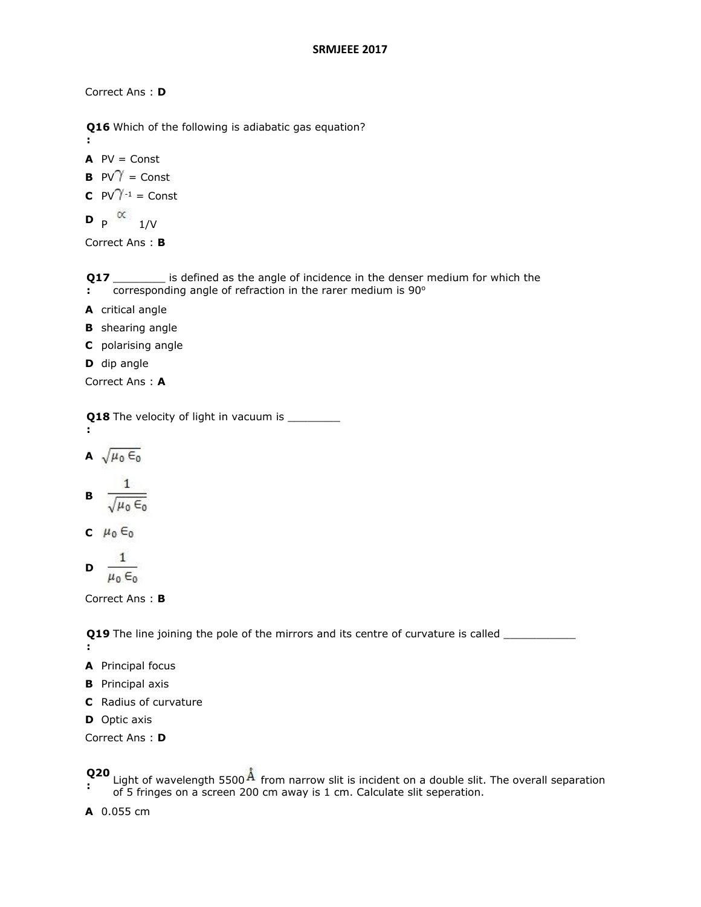Correct Ans : **D**

**Q16**  Which of the following is adiabatic gas equation?

 $AV = Const$ 

**:**

**B** 
$$
PV^{\gamma} =
$$
 Const

$$
C \quad PV^{\gamma-1} = Const
$$

$$
\mathbf{D}_{\mathsf{P}} \propto_{1/\mathsf{V}}
$$

Correct Ans : **B**

**Q17** is defined as the angle of incidence in the denser medium for which the

- **:** corresponding angle of refraction in the rarer medium is 90°
- **A** critical angle
- **B** shearing angle
- **C** polarising angle
- **D** dip angle

Correct Ans : **A**

**Q18** The velocity of light in vacuum is **we cannot :**

$$
\mathbf{A} \sqrt{\mu_0 \epsilon_0}
$$

$$
\mathbf{B} = \frac{1}{\sqrt{\mu_0 \epsilon_0}}
$$

$$
c \ \mu_0 \in \mathbf{C}_0
$$

$$
\mathbf{D} \quad \frac{1}{\mu_0 \epsilon_0}
$$

Correct Ans : **B**

**Q19** The line joining the pole of the mirrors and its centre of curvature is called \_\_\_\_\_\_\_\_\_\_\_\_\_\_\_

**:**

- **A** Principal focus
- **B** Principal axis
- **C** Radius of curvature
- **D** Optic axis

Correct Ans : **D**

# **Q20**

Light of wavelength 5500<sup>H</sup> from narrow slit is incident on a double slit. The overall separation of 5 fringes on a screen 200 cm away is 1 cm. Calculate slit seperation.

**A** 0.055 cm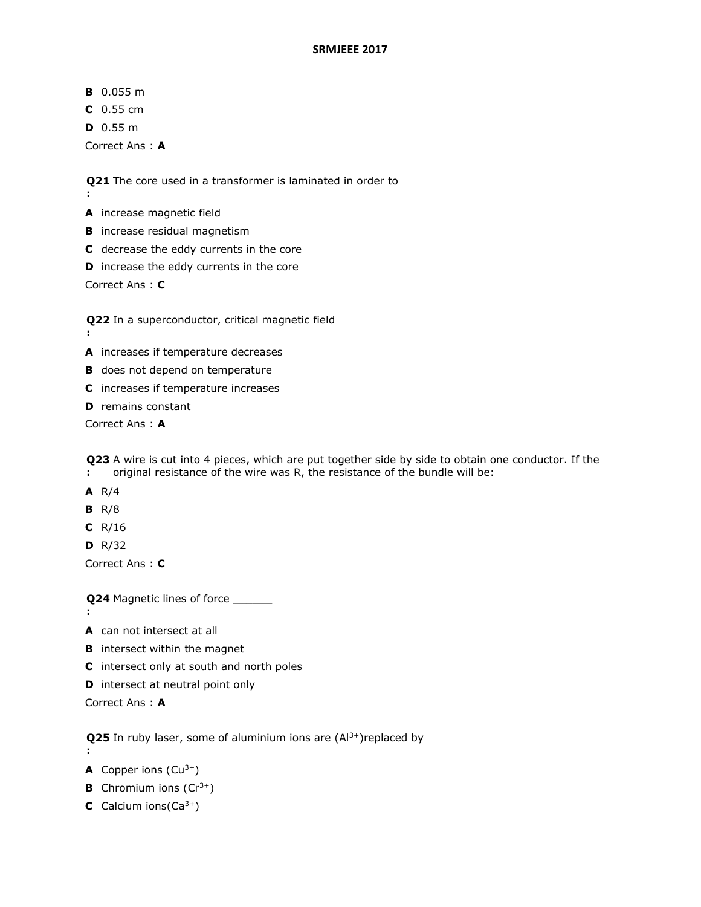- **B** 0.055 m
- **C** 0.55 cm
- **D** 0.55 m

Correct Ans : **A**

**Q21**  The core used in a transformer is laminated in order to

**:**

**A** increase magnetic field

- **B** increase residual magnetism
- **C** decrease the eddy currents in the core
- **D** increase the eddy currents in the core

Correct Ans : **C**

**Q22**  In a superconductor, critical magnetic field

- **:**
- **A** increases if temperature decreases
- **B** does not depend on temperature
- **C** increases if temperature increases
- **D** remains constant

Correct Ans : **A**

**Q23**  A wire is cut into 4 pieces, which are put together side by side to obtain one conductor. If the **:** original resistance of the wire was R, the resistance of the bundle will be:

- **A** R/4
- **B** R/8
- **C** R/16
- **D** R/32

Correct Ans : **C**

**Q24** Magnetic lines of force \_\_\_\_\_\_\_

**:**

**:**

- **A** can not intersect at all
- **B** intersect within the magnet
- **C** intersect only at south and north poles
- **D** intersect at neutral point only

Correct Ans : **A**

**Q25** In ruby laser, some of aluminium ions are (Al<sup>3+</sup>)replaced by

- **A** Copper ions  $(Cu^{3+})$
- **B** Chromium ions  $(Cr^{3+})$
- **C** Calcium ions(Ca3+)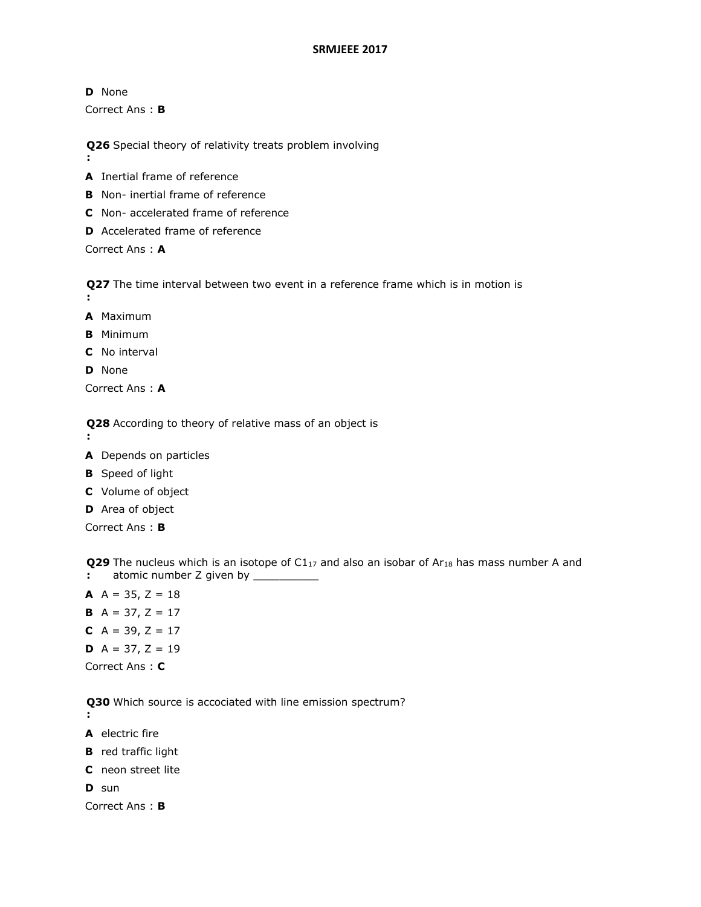**D** None Correct Ans : **B**

**Q26**  Special theory of relativity treats problem involving

- **:**
- **A** Inertial frame of reference
- **B** Non- inertial frame of reference
- **C** Non- accelerated frame of reference
- **D** Accelerated frame of reference

Correct Ans : **A**

**Q27**  The time interval between two event in a reference frame which is in motion is **:**

- **A** Maximum
- **B** Minimum
- **C** No interval
- **D** None

Correct Ans : **A**

**Q28**  According to theory of relative mass of an object is

- **:**
- **A** Depends on particles
- **B** Speed of light
- **C** Volume of object
- **D** Area of object

Correct Ans : **B**

**Q29** The nucleus which is an isotope of C1<sub>17</sub> and also an isobar of Ar<sub>18</sub> has mass number A and

- **:** atomic number Z given by \_\_\_\_\_\_\_\_\_\_\_
- **A**  $A = 35$ ,  $Z = 18$ **B**  $A = 37, Z = 17$ **C**  $A = 39, Z = 17$ **D**  $A = 37, Z = 19$ Correct Ans : **C**

**Q30**  Which source is accociated with line emission spectrum?

- **:**
- **A** electric fire
- **B** red traffic light
- **C** neon street lite

**D** sun

Correct Ans : **B**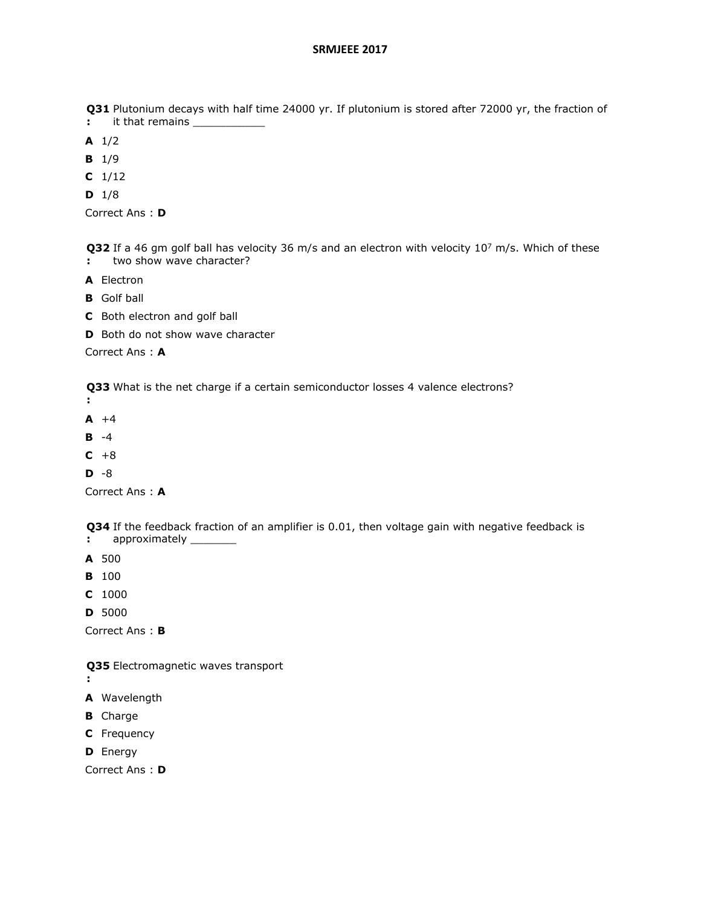**Q31**  Plutonium decays with half time 24000 yr. If plutonium is stored after 72000 yr, the fraction of

**:** it that remains

**A** 1/2

- **B** 1/9
- **C** 1/12
- **D** 1/8

Correct Ans : **D**

**Q32** If a 46 gm golf ball has velocity 36 m/s and an electron with velocity 10<sup>7</sup> m/s. Which of these **:** two show wave character?

- **A** Electron
- **B** Golf ball
- **C** Both electron and golf ball
- **D** Both do not show wave character

Correct Ans : **A**

**Q33**  What is the net charge if a certain semiconductor losses 4 valence electrons?

- **:**
- **A** +4
- **B** -4
- $C + 8$
- **D** -8

Correct Ans : **A**

**Q34**  If the feedback fraction of an amplifier is 0.01, then voltage gain with negative feedback is

- **:** approximately \_\_\_\_\_\_\_\_
- **A** 500
- **B** 100
- **C** 1000
- **D** 5000

Correct Ans : **B**

**Q35**  Electromagnetic waves transport

- **:**
- **A** Wavelength
- **B** Charge
- **C** Frequency
- **D** Energy

Correct Ans : **D**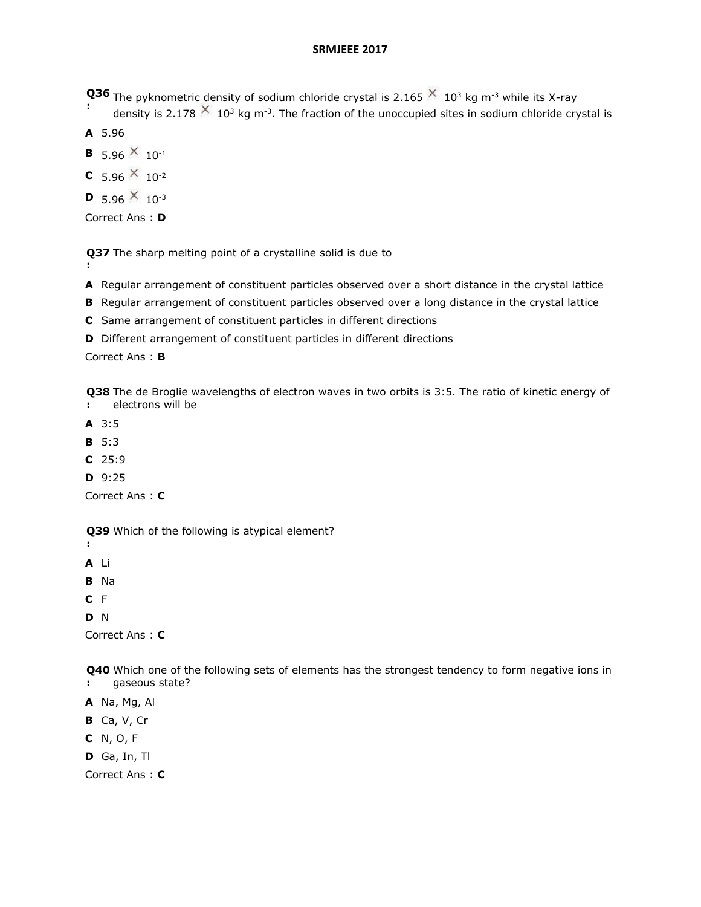- **Q36 Q36** The pyknometric density of sodium chloride crystal is 2.165  $\times$  10<sup>3</sup> kg m<sup>-3</sup> while its X-ray
- density is 2.178  $\sim 10^3$  kg m<sup>-3</sup>. The fraction of the unoccupied sites in sodium chloride crystal is
- **A** 5.96
- **B** 5.96  $\times$  10<sup>-1</sup>
- **C** 5.96  $\times$  10<sup>-2</sup>
- **D** 5.96  $\times$  10<sup>-3</sup>

Correct Ans : **D**

**Q37**  The sharp melting point of a crystalline solid is due to

- **:**
- **A** Regular arrangement of constituent particles observed over a short distance in the crystal lattice
- **B** Regular arrangement of constituent particles observed over a long distance in the crystal lattice
- **C** Same arrangement of constituent particles in different directions
- **D** Different arrangement of constituent particles in different directions

Correct Ans : **B**

**Q38**  The de Broglie wavelengths of electron waves in two orbits is 3:5. The ratio of kinetic energy of **:** electrons will be

- **A** 3:5
- **B** 5:3
- **C** 25:9
- **D** 9:25

Correct Ans : **C**

**Q39**  Which of the following is atypical element?

**:**

- **A** Li **B** Na
- **C** F

**D** N

Correct Ans : **C**

**Q40**  Which one of the following sets of elements has the strongest tendency to form negative ions in **:** gaseous state?

- **A** Na, Mg, Al
- **B** Ca, V, Cr
- **C** N, O, F
- **D** Ga, In, Tl

Correct Ans : **C**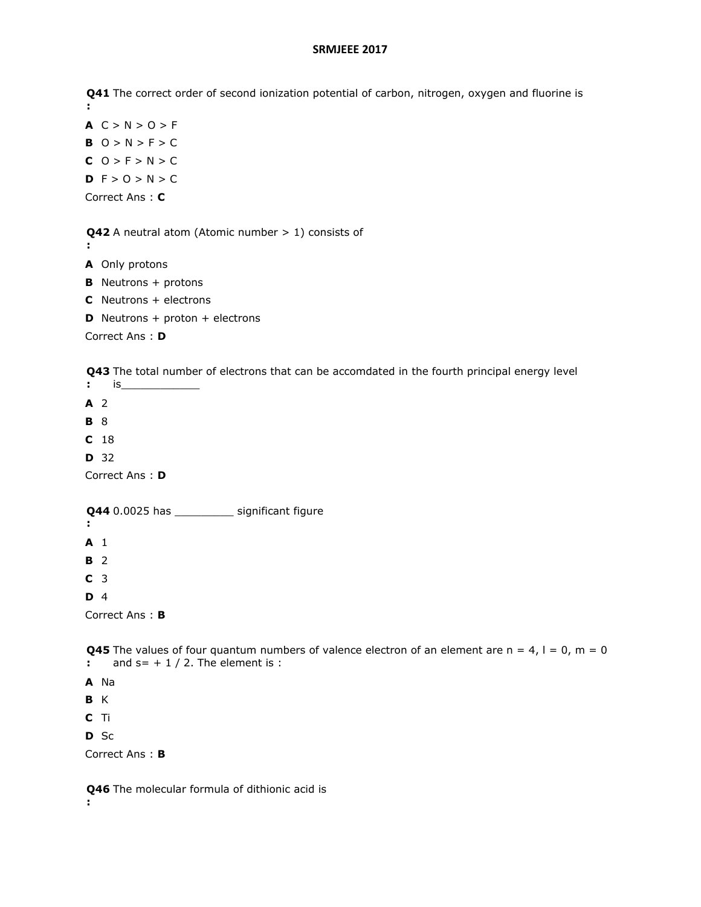**Q41**  The correct order of second ionization potential of carbon, nitrogen, oxygen and fluorine is **:**

 $A C > N > O > F$  $B$  O > N > F > C  $C$  O > F > N > C **D**  $F > 0 > N > C$ Correct Ans : **C**

**Q42**  A neutral atom (Atomic number > 1) consists of

- **A** Only protons
- **B** Neutrons + protons
- **C** Neutrons + electrons
- **D** Neutrons + proton + electrons

Correct Ans : **D**

**Q43**  The total number of electrons that can be accomdated in the fourth principal energy level

- **:** is\_\_\_\_\_\_\_\_\_\_\_\_
- **A** 2

**:**

- **B** 8
- **C** 18
- **D** 32

Correct Ans : **D**

#### **Q44**  0.0025 has \_\_\_\_\_\_\_\_\_ significant figure

**:**

- **A** 1
- **B** 2
- **C** 3

**D** 4

Correct Ans : **B**

**Q45** The values of four quantum numbers of valence electron of an element are  $n = 4$ ,  $l = 0$ ,  $m = 0$ **:** and  $s = +1/2$ . The element is :

- **A** Na
- **B** K
- **C** Ti
- **D** Sc

Correct Ans : **B**

**Q46**  The molecular formula of dithionic acid is**:**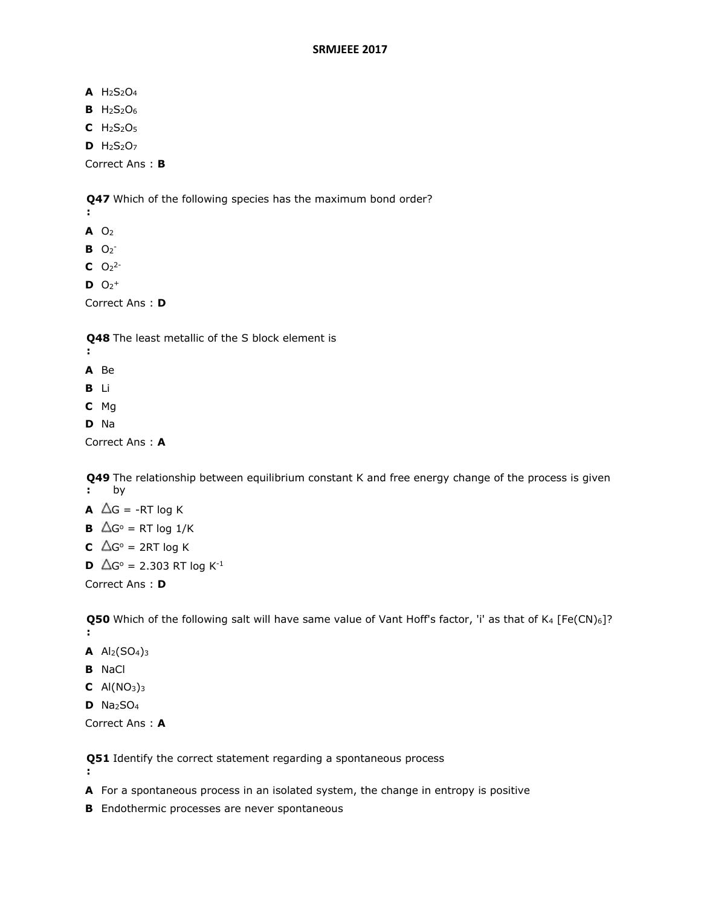**A** H2S2O<sup>4</sup>

- **B** H2S2O<sup>6</sup>
- **C** H2S2O<sup>5</sup>
- **D** H2S2O<sup>7</sup>

Correct Ans : **B**

**Q47**  Which of the following species has the maximum bond order?

- **:**
- **A** O<sup>2</sup>
- $B$   $O_2^-$
- $C$   $O_2$ <sup>2-</sup>
- $D$   $O_2$ <sup>+</sup>

Correct Ans : **D**

**Q48**  The least metallic of the S block element is

- **:**
- **A** Be
- **B** Li
- **C** Mg
- **D** Na

Correct Ans : **A**

**Q49**  The relationship between equilibrium constant K and free energy change of the process is given **:** by

- **A**  $\Delta G$  = -RT log K
- **B**  $\Delta G^{\circ}$  = RT log 1/K
- **C**  $\triangle G^{\circ}$  = 2RT log K
- **D**  $\Delta G^{\circ} = 2.303$  RT log K<sup>-1</sup>

Correct Ans : **D**

**Q50** Which of the following salt will have same value of Vant Hoff's factor, 'i' as that of K<sub>4</sub> [Fe(CN)<sub>6</sub>]? **:**

- **A**  $Al_2(SO_4)_3$
- **B** NaCl

**:**

- **C**  $Al(NO<sub>3</sub>)<sub>3</sub>$
- **D** Na2SO<sup>4</sup>

Correct Ans : **A**

**Q51**  Identify the correct statement regarding a spontaneous process

**A** For a spontaneous process in an isolated system, the change in entropy is positive

**B** Endothermic processes are never spontaneous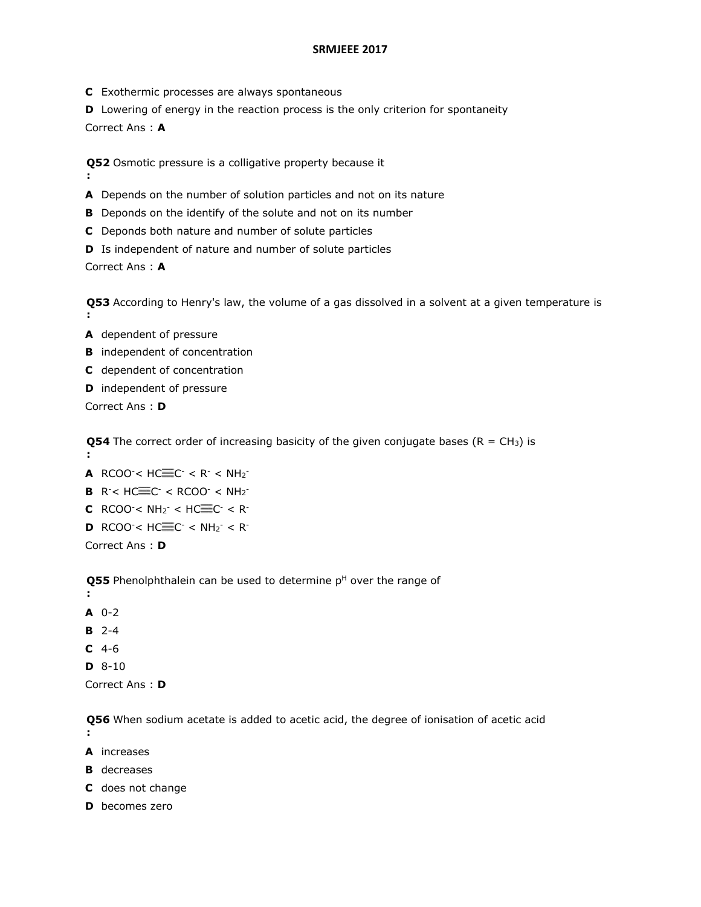- **C** Exothermic processes are always spontaneous
- **D** Lowering of energy in the reaction process is the only criterion for spontaneity

Correct Ans : **A**

**:**

**Q52**  Osmotic pressure is a colligative property because it

- **A** Depends on the number of solution particles and not on its nature
- **B** Deponds on the identify of the solute and not on its number
- **C** Deponds both nature and number of solute particles
- **D** Is independent of nature and number of solute particles

Correct Ans : **A**

**Q53**  According to Henry's law, the volume of a gas dissolved in a solvent at a given temperature is **:**

- **A** dependent of pressure
- **B** independent of concentration
- **C** dependent of concentration
- **D** independent of pressure

Correct Ans : **D**

**Q54** The correct order of increasing basicity of the given conjugate bases ( $R = CH_3$ ) is **:**

- **A** RCOO <  $HC = CC < R < NH_2$
- **B**  $R^-$  <  $HC = C^-$  <  $RCOO^-$  <  $NH_2^-$
- **C** RCOO $\leq$  NH<sub>2</sub> $\leq$   $\leq$  HC $\equiv$ C $\leq$   $\leq$  R $\leq$
- **D** RCOO<sup>-</sup><  $HC = C^-$  <  $NH_2^-$  < R<sup>-</sup>

Correct Ans : **D**

**Q55** Phenolphthalein can be used to determine p<sup>H</sup> over the range of

- **:**
- **A** 0-2
- **B** 2-4
- **C** 4-6
- **D** 8-10

Correct Ans : **D**

**Q56**  When sodium acetate is added to acetic acid, the degree of ionisation of acetic acid **:**

- **A** increases
- **B** decreases
- **C** does not change
- **D** becomes zero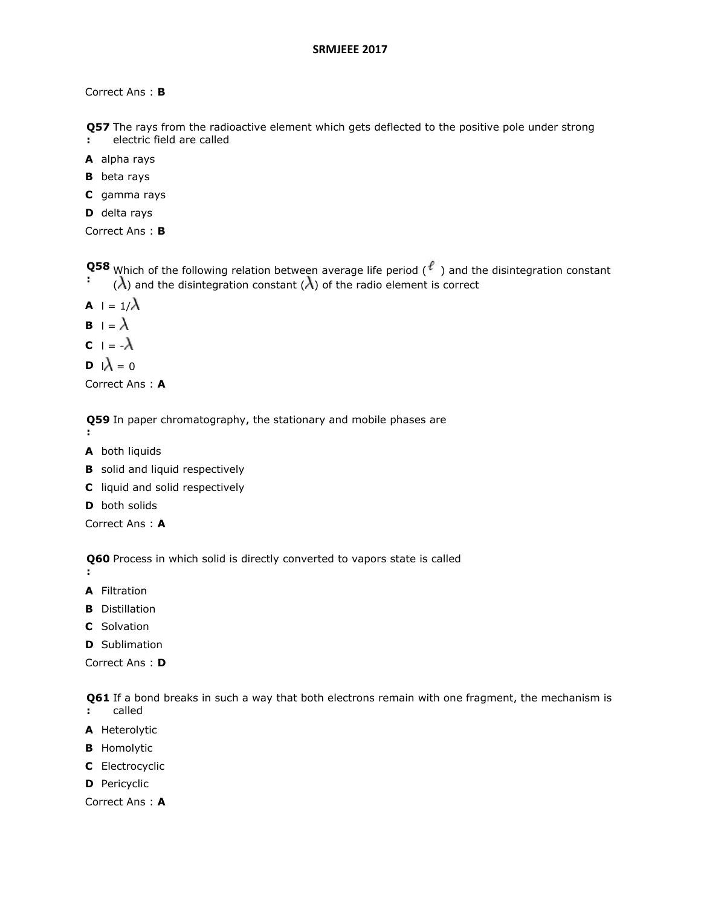Correct Ans : **B**

**Q57**  The rays from the radioactive element which gets deflected to the positive pole under strong

- **:** electric field are called
- **A** alpha rays
- **B** beta rays
- **C** gamma rays
- **D** delta rays

```
Correct Ans : B
```
**Q58 Q38** Which of the following relation between average life period (<sup>€</sup>) and the disintegration constant (1) and the disintegration constant (1) of the radio element is correct.  $(\lambda)$  and the disintegration constant  $(\lambda)$  of the radio element is correct

- **A**  $| = 1/\lambda$
- **B**  $\vert \cdot \vert = \lambda$
- **C**  $| = -\lambda$

$$
\mathbf{D} \ \mathbf{I} \lambda = 0
$$

Correct Ans : **A**

**Q59**  In paper chromatography, the stationary and mobile phases are

- **:**
- **A** both liquids
- **B** solid and liquid respectively
- **C** liquid and solid respectively
- **D** both solids

Correct Ans : **A**

**Q60**  Process in which solid is directly converted to vapors state is called

- **:**
- **A** Filtration
- **B** Distillation
- **C** Solvation
- **D** Sublimation

Correct Ans : **D**

**Q61**  If a bond breaks in such a way that both electrons remain with one fragment, the mechanism is called

- **:**
- **A** Heterolytic
- **B** Homolytic
- **C** Electrocyclic
- **D** Pericyclic

Correct Ans : **A**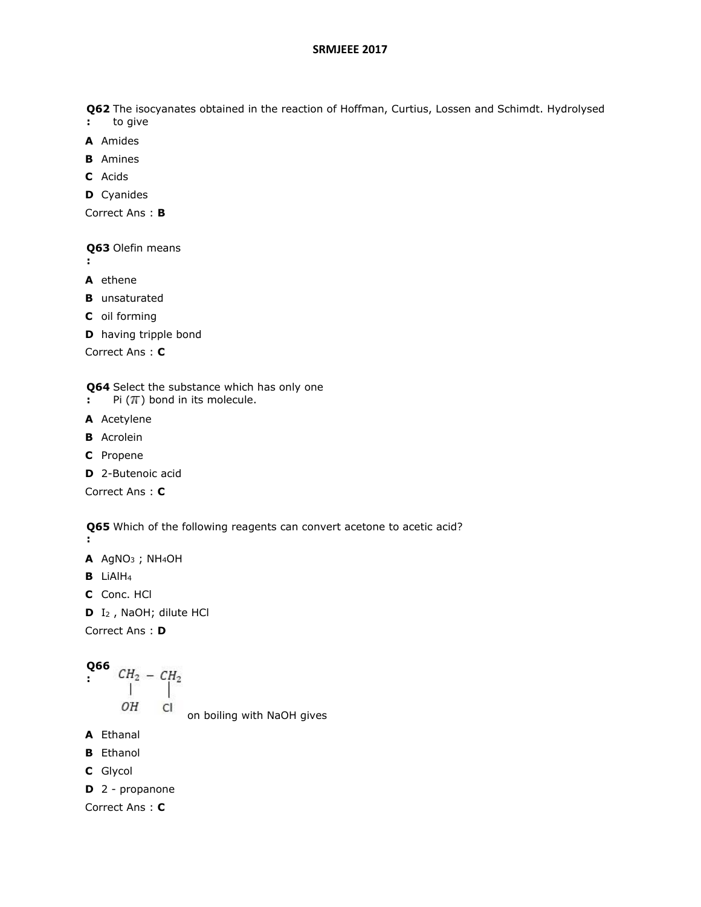**Q62**  The isocyanates obtained in the reaction of Hoffman, Curtius, Lossen and Schimdt. Hydrolysed

- **:** to give
- **A** Amides
- **B** Amines
- **C** Acids
- **D** Cyanides

Correct Ans : **B**

**Q63**  Olefin means

- **:**
- **A** ethene
- **B** unsaturated
- **C** oil forming
- **D** having tripple bond

Correct Ans : **C**

**Q64**  Select the substance which has only one

- **:** Pi  $(\pi)$  bond in its molecule.
- **A** Acetylene
- **B** Acrolein
- **C** Propene
- **D** 2-Butenoic acid

Correct Ans : **C**

**Q65**  Which of the following reagents can convert acetone to acetic acid? **:**

- **A** AgNO<sup>3</sup> ; NH4OH
- **B** LiAlH<sup>4</sup>
- **C** Conc. HCl
- **D** I<sup>2</sup> , NaOH; dilute HCl

Correct Ans : **D**

**Q66**  

$$
CH_2 - CH_2
$$
  
 $||$   
 $OH$   
 $Cl$ 

on boiling with NaOH gives

- **A** Ethanal
- **B** Ethanol
- **C** Glycol
- **D** 2 propanone

Correct Ans : **C**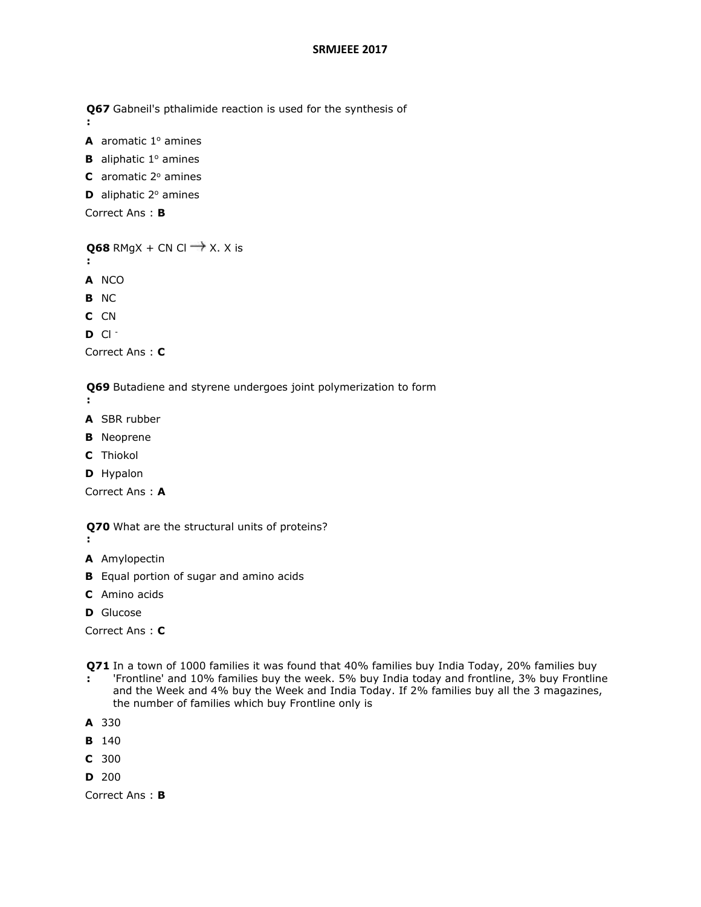**Q67**  Gabneil's pthalimide reaction is used for the synthesis of

- **A** aromatic  $1^\circ$  amines
- **B** aliphatic  $1^\circ$  amines
- **C** aromatic 2<sup>°</sup> amines
- **D** aliphatic 2<sup>°</sup> amines

```
Correct Ans : B
```

```
Q68 RMgX + CN Cl \rightarrow X. X is
```
**:**

**:**

- **A** NCO
- **B** NC
- **C** CN
- **D** Cl -

```
Correct Ans : C
```
**Q69**  Butadiene and styrene undergoes joint polymerization to form

**:**

- **A** SBR rubber
- **B** Neoprene
- **C** Thiokol
- **D** Hypalon

Correct Ans : **A**

- **Q70**  What are the structural units of proteins?
- **:**
- **A** Amylopectin
- **B** Equal portion of sugar and amino acids
- **C** Amino acids
- **D** Glucose

Correct Ans : **C**

**Q71**  In a town of 1000 families it was found that 40% families buy India Today, 20% families buy **:** 'Frontline' and 10% families buy the week. 5% buy India today and frontline, 3% buy Frontline and the Week and 4% buy the Week and India Today. If 2% families buy all the 3 magazines, the number of families which buy Frontline only is

```
A 330
```
- **B** 140
- **C** 300
- **D** 200

Correct Ans : **B**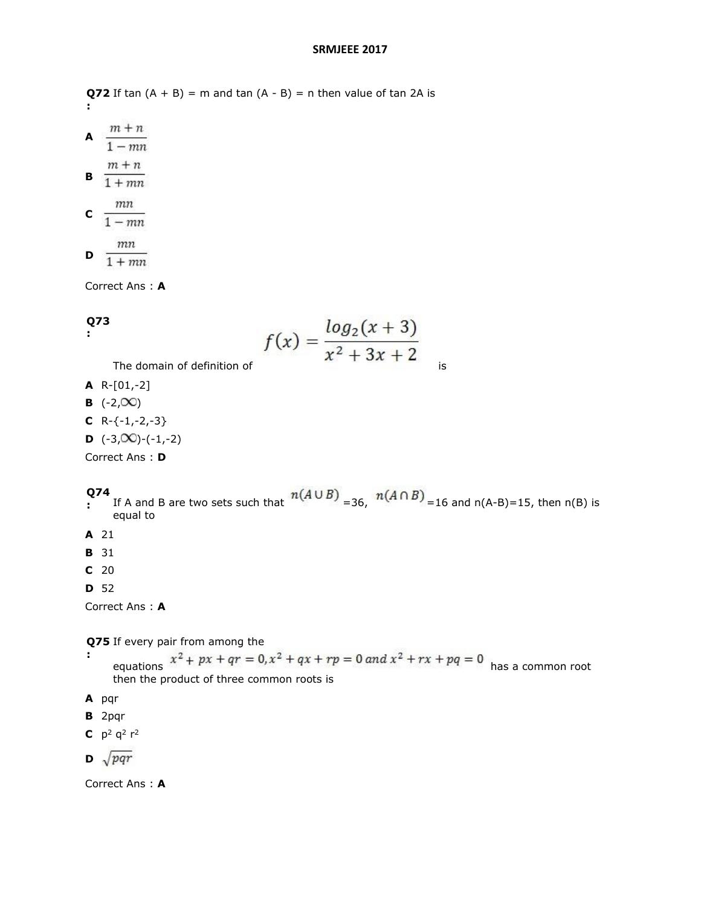**Q72** If tan  $(A + B) = m$  and tan  $(A - B) = n$  then value of tan 2A is **:**

A  $\frac{m+n}{1-mn}$ **B**  $\frac{m+n}{1+mn}$ **c**  $\frac{mn}{1 - mn}$  $\,$  $\mathbf{D}$   $\frac{}{1 + mn}$ 

Correct Ans : **A**

# **Q73**

```
:
```

$$
f(x) = \frac{\log_2(x+3)}{x^2 + 3x + 2}
$$

The domain of definition of  $\overline{a}$  is

- **A** R-[01,-2]
- **B**  $(-2,00)$
- $C$  R- $\{-1,-2,-3\}$
- **D**  $(-3,00)$  $-(-1,-2)$

Correct Ans : **D**

#### **Q74**

- If A and B are two sets such that  $\frac{n(n+1)(n+1)}{2}$  = 36,  $\frac{n(n+1)(n+2)}{2}$  = 16 and n(A-B)=15, then n(B) is equal to
- **A** 21
- **B** 31
- **C** 20
- **D** 52

Correct Ans : **A**

**Q75**  If every pair from among the

- **:** equations  $x^2 + px + qr = 0$ ,  $x^2 + qx + rp = 0$  and  $x^2 + rx + pq = 0$  has a common root then the product of three common roots is
- **A** pqr
- **B** 2pqr
- **C**  $p^2 q^2 r^2$

 $\sqrt{pqr}$ 

Correct Ans : **A**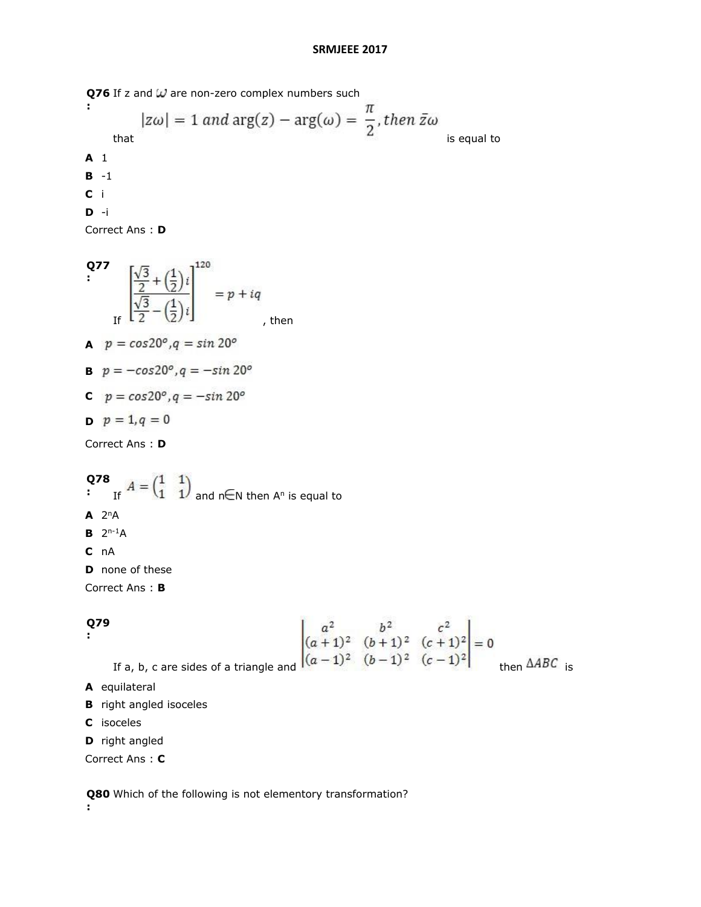**Q76** If z and W are non-zero complex numbers such **:**  $|z\omega| = 1$  and  $\arg(z) - \arg(\omega) = \frac{\pi}{2}$ , then  $\bar{z}\omega$  is equal to **A** 1 **B** -1 **C** i **D** -i

Correct Ans : **D**

Q77  
\n
$$
\left[\frac{\sqrt{3}}{2} + (\frac{1}{2})i\right]^{120} = p + iq
$$
\n
$$
p = cos20^\circ, q = sin 20^\circ
$$
\n
$$
p = -cos20^\circ, q = -sin 20^\circ
$$
\n
$$
p = -cos20^\circ, q = -sin 20^\circ
$$
\n
$$
p = 1, q = 0
$$
\nCorrect Ans: D

**Q78**   $\cdot$  If  $A - \begin{pmatrix} 1 & 1 \end{pmatrix}$  and n EN then A<sup>n</sup> is equal to  $A$  2<sup>n</sup>A **B**  $2^{n-1}A$ **C** nA

**D** none of these

Correct Ans : **B**

## **Q79**

**:**

$$
\begin{vmatrix} a^2 & b^2 & c^2 \ (a+1)^2 & (b+1)^2 & (c+1)^2 \ (a-1)^2 & (b-1)^2 & (c-1)^2 \ \end{vmatrix} = 0
$$

If a, b, c are sides of a triangle and  $\sqrt{((a-1)^2 + (b-1)^2 + (c-1)^2)}$  then  $\triangle ABC$  is

- **A** equilateral
- **B** right angled isoceles
- **C** isoceles
- **D** right angled

Correct Ans : **C**

**Q80**  Which of the following is not elementory transformation?

**:**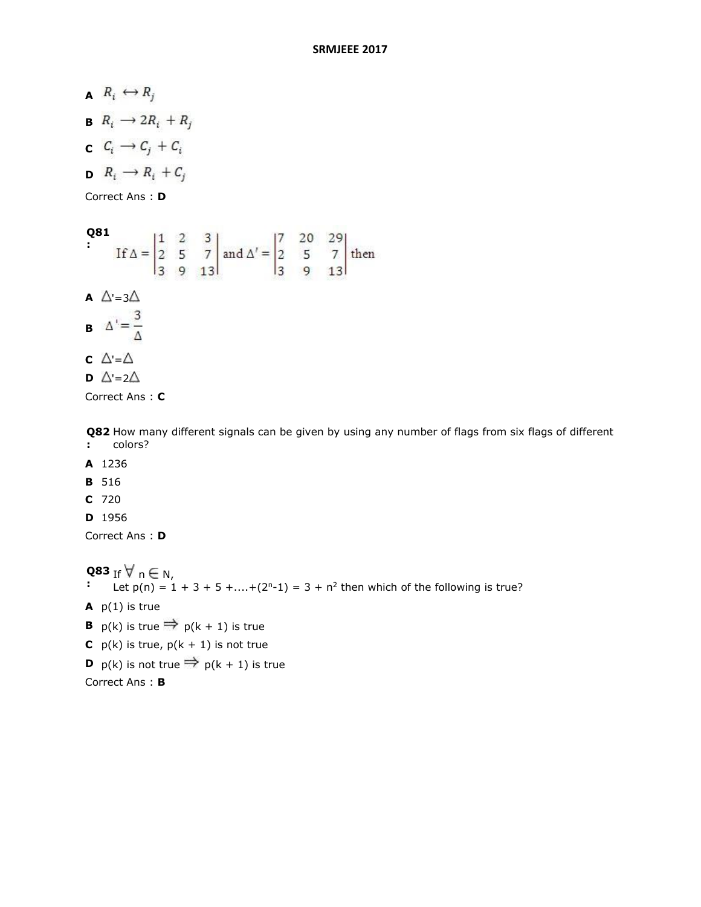$R_i \leftrightarrow R_j$ **B**  $R_i \rightarrow 2R_i + R_j$ **c**  $C_i \rightarrow C_j + C_i$  $R_i \rightarrow R_i + C_j$ Correct Ans : **D**

**Q81**<br> **If**  $\Delta = \begin{vmatrix} 1 & 2 & 3 \\ 2 & 5 & 7 \\ 3 & 9 & 13 \end{vmatrix}$  and  $\Delta' = \begin{vmatrix} 7 & 20 & 29 \\ 2 & 5 & 7 \\ 3 & 9 & 13 \end{vmatrix}$  then **: A**  $\triangle$  =3 $\triangle$ **B**  $\Delta' = \frac{3}{\Lambda}$ **c**  $\triangle = \triangle$ **D**  $\triangle$  =2 $\triangle$ 

Correct Ans : **C**

**Q82**  How many different signals can be given by using any number of flags from six flags of different **:** colors?

- **A** 1236
- **B** 516
- **C** 720
- **D** 1956

Correct Ans : **D**

**Q83**  If n N,

- **:** Let  $p(n) = 1 + 3 + 5 + ... + (2<sup>n</sup> - 1) = 3 + n<sup>2</sup>$  then which of the following is true?
- **A** p(1) is true
- **B**  $p(k)$  is true  $\Rightarrow p(k + 1)$  is true
- **C**  $p(k)$  is true,  $p(k + 1)$  is not true
- **D**  $p(k)$  is not true  $\Rightarrow p(k + 1)$  is true

```
Correct Ans : B
```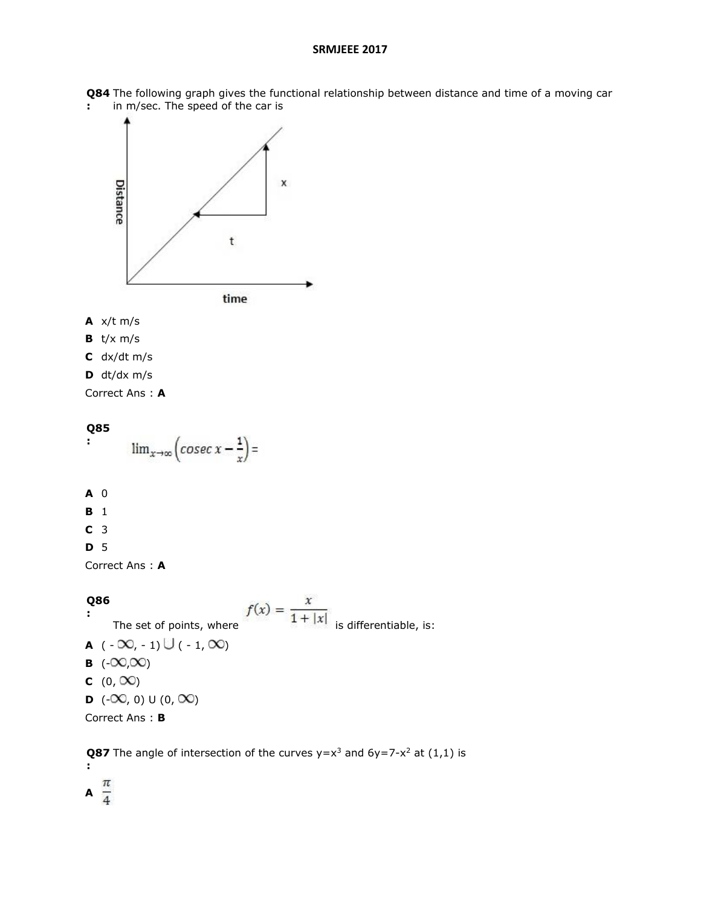**Q84**  The following graph gives the functional relationship between distance and time of a moving car **:** in m/sec. The speed of the car is



- **A** x/t m/s
- **B** t/x m/s
- **C** dx/dt m/s
- **D** dt/dx m/s

Correct Ans : **A**

## **Q85 :**  $\lim_{x\to\infty} \left( \csc x - \frac{1}{x} \right) =$

- **A** 0
- **B** 1
- **C** 3

#### **D** 5

Correct Ans : **A**

**Q86 :** The set of points, where  $f(x) = \frac{x}{1 + |x|}$  is differentiable, is: **A**  $(-\infty, -1) \cup (-1, \infty)$ **B**  $(-\infty, \infty)$ **C**  $(0, \infty)$ **D**  $(-\infty, 0) \cup (0, \infty)$ Correct Ans : **B**

**Q87** The angle of intersection of the curves  $y=x^3$  and  $6y=7-x^2$  at  $(1,1)$  is **:**

A  $\frac{\pi}{4}$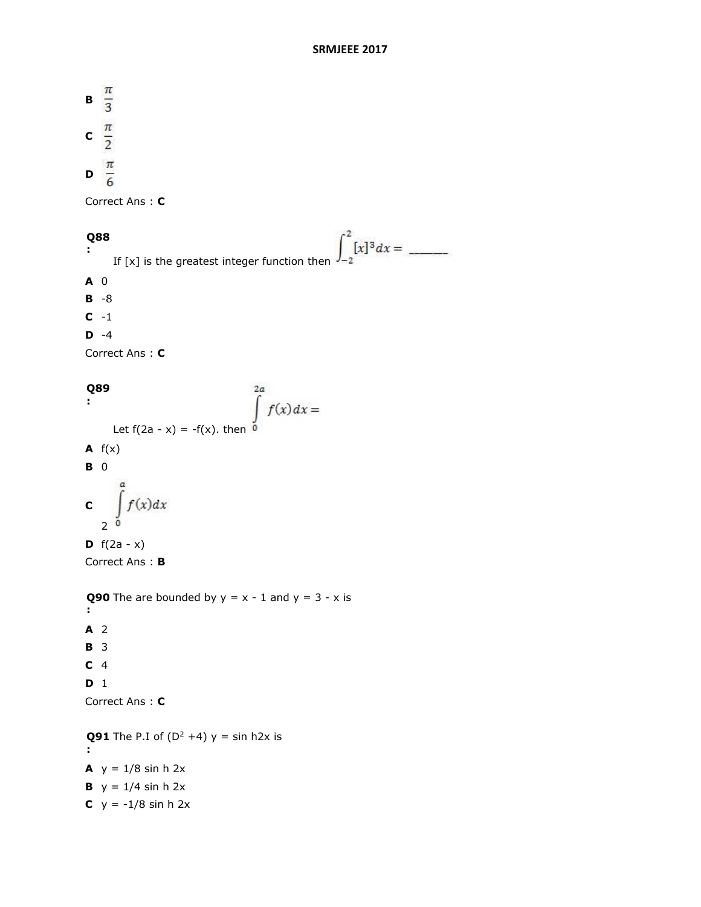**B**  $\frac{\pi}{3}$ c  $\frac{\pi}{2}$  $\frac{\pi}{6}$ 

Correct Ans : **C**

#### $\int_{-2}^{2} [x]^{3} dx =$ **Q88**  <u>a ma</u> **:** If [x] is the greatest integer function then

**A** 0

**B** -8

**C** -1

**D** -4

Correct Ans : **C**

```
\int_{0}^{2a} f(x) dx =Q89 
:
      Let f(2a - x) = -f(x). then \overline{0}A f(x)B 0
         f(x)dxC
   2^0D f(2a - x)Correct Ans : B
```
**Q90** The are bounded by  $y = x - 1$  and  $y = 3 - x$  is **: A** 2 **B** 3 **C** 4 **D** 1 Correct Ans : **C Q91** The P.I of  $(D^2 +4)$  y = sin h2x is

**: A**  $y = 1/8 \sinh 2x$ **B**  $y = 1/4 \sinh 2x$ **C**  $y = -1/8 \sinh 2x$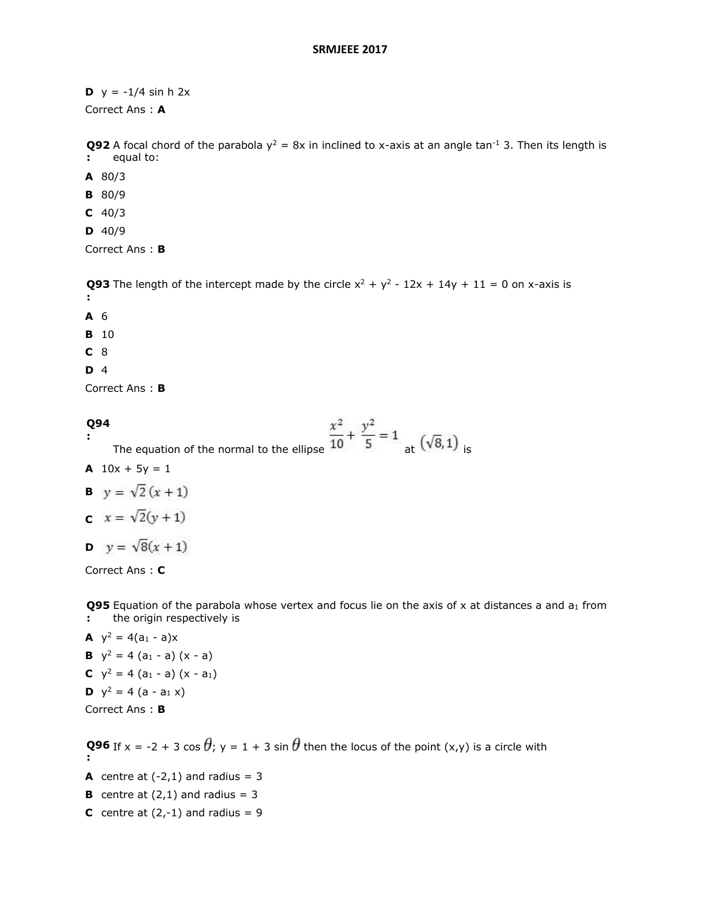**D**  $y = -1/4 \sinh 2x$ 

Correct Ans : **A**

**Q92** A focal chord of the parabola  $y^2 = 8x$  in inclined to x-axis at an angle tan<sup>-1</sup> 3. Then its length is **:** equal to:

- **A** 80/3
- **B** 80/9
- **C** 40/3
- **D** 40/9

Correct Ans : **B**

**Q93** The length of the intercept made by the circle  $x^2 + y^2 - 12x + 14y + 11 = 0$  on x-axis is **:**

**A** 6

**B** 10

**C** 8

**D** 4

Correct Ans : **B**

#### **Q94 :**

The equation of the normal to the ellipse  $\frac{x^2}{10} + \frac{y^2}{5} = 1$  at  $(\sqrt{8}, 1)$  is

**A**  $10x + 5y = 1$ 

**B** 
$$
y = \sqrt{2}(x+1)
$$

- **c**  $x = \sqrt{2}(y + 1)$
- **D**  $y = \sqrt{8(x+1)}$

Correct Ans : **C**

**Q95** Equation of the parabola whose vertex and focus lie on the axis of x at distances a and a<sub>1</sub> from **:** the origin respectively is

**A**  $y^2 = 4(a_1 - a)x$ **B**  $y^2 = 4(a_1 - a)(x - a)$ **C**  $y^2 = 4(a_1 - a)(x - a_1)$ **D**  $y^2 = 4$  (a - a<sub>1</sub> x) Correct Ans : **B**

**Q96** If x = -2 + 3 cos  $\theta$ ; y = 1 + 3 sin  $\theta$  then the locus of the point (x,y) is a circle with **:**

**A** centre at  $(-2,1)$  and radius = 3

**B** centre at  $(2,1)$  and radius = 3

**C** centre at  $(2, -1)$  and radius = 9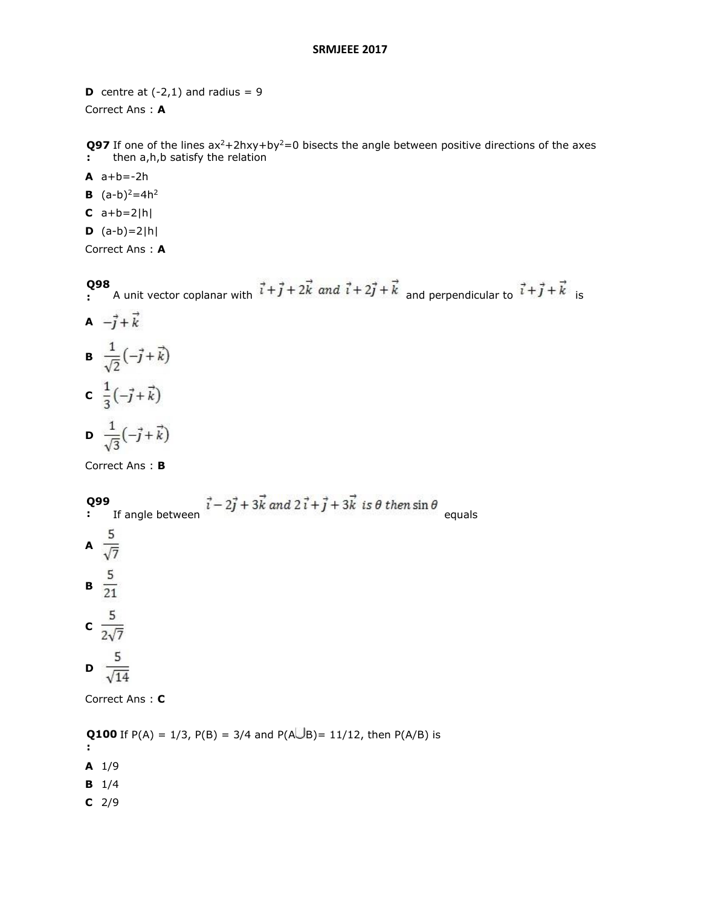**D** centre at  $(-2,1)$  and radius = 9 Correct Ans : **A**

**Q97** If one of the lines  $ax^2+2hxy+by^2=0$  bisects the angle between positive directions of the axes **:** then a,h,b satisfy the relation

- **A** a+b=-2h
- **B**  $(a-b)^2=4h^2$
- $C \ a+b=2|h|$
- $D (a-b)=2|h|$

Correct Ans : **A**

#### **Q98**

- **:** A unit vector coplanar with  $T T T Z R$  and  $T T R$  and perpendicular to  $T T R$  is
- **A**  $-\vec{j}+\vec{k}$ **B**  $\frac{1}{\sqrt{2}}(-\vec{j}+\vec{k})$ **c**  $\frac{1}{3}(-\vec{j}+\vec{k})$ **D**  $\frac{1}{\sqrt{3}}(-\vec{j}+\vec{k})$

Correct Ans : **B**

**Q99 Q99**<br> **:** If angle between  $\vec{i} - 2\vec{j} + 3\vec{k}$  and  $2\vec{i} + \vec{j} + 3\vec{k}$  is  $\theta$  then  $\sin \theta$  equals A  $\frac{5}{\sqrt{7}}$ **B**  $\frac{5}{21}$ **c**  $\frac{5}{2\sqrt{7}}$ **D**  $\frac{5}{\sqrt{14}}$ Correct Ans : **C**

**Q100** If P(A) = 1/3, P(B) = 3/4 and P(AUB)= 11/12, then P(A/B) is **:**

- **A** 1/9
- **B** 1/4
- **C** 2/9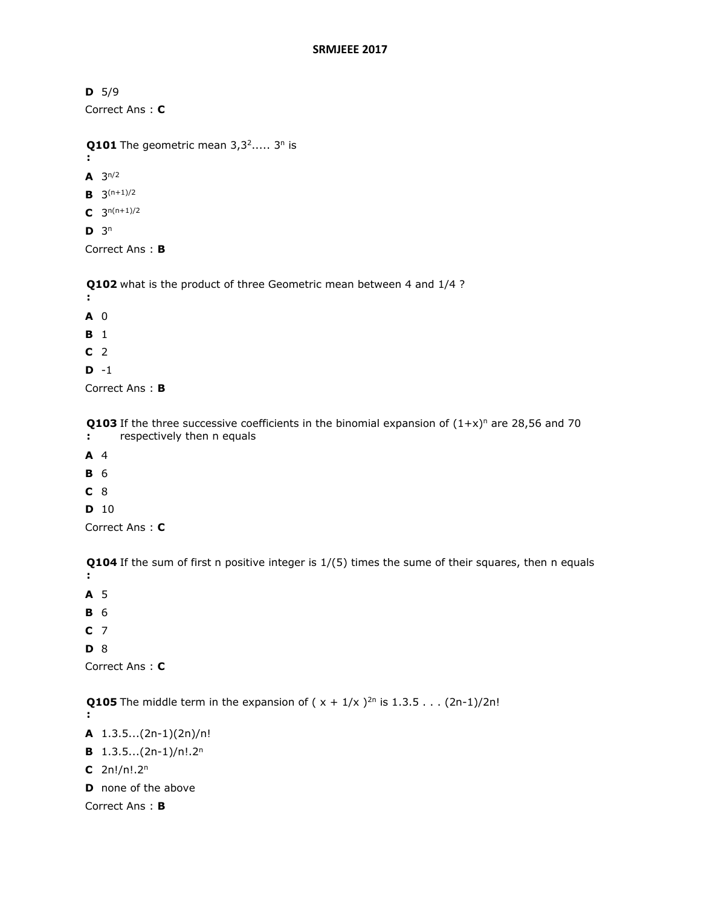**D** 5/9 Correct Ans : **C**

```
Q101 The geometric mean 3,3^2,... 3<sup>n</sup> is
```
**:**

- **A**  $3^{n/2}$
- **B**  $3^{(n+1)/2}$
- $C$  3<sup>n(n+1)/2</sup>
- $D^3$

Correct Ans : **B**

**Q102**  what is the product of three Geometric mean between 4 and 1/4 ?

- **:**
- **A** 0

**B** 1

**C** 2

**D** -1

Correct Ans : **B**

**Q103** If the three successive coefficients in the binomial expansion of  $(1+x)^n$  are 28,56 and 70 **:** respectively then n equals

- **A** 4
- **B** 6
- **C** 8
- **D** 10

Correct Ans : **C**

**Q104**  If the sum of first n positive integer is 1/(5) times the sume of their squares, then n equals **:**

- **A** 5
- **B** 6
- **C** 7

**D** 8

Correct Ans : **C**

**Q105** The middle term in the expansion of  $(x + 1/x)^{2n}$  is 1.3.5 . . .  $(2n-1)/2n!$ **:**

- **A** 1.3.5...(2n-1)(2n)/n!
- **B** 1.3.5...(2n-1)/n!.2<sup>n</sup>
- **C** 2n!/n!.2<sup>n</sup>
- **D** none of the above

Correct Ans : **B**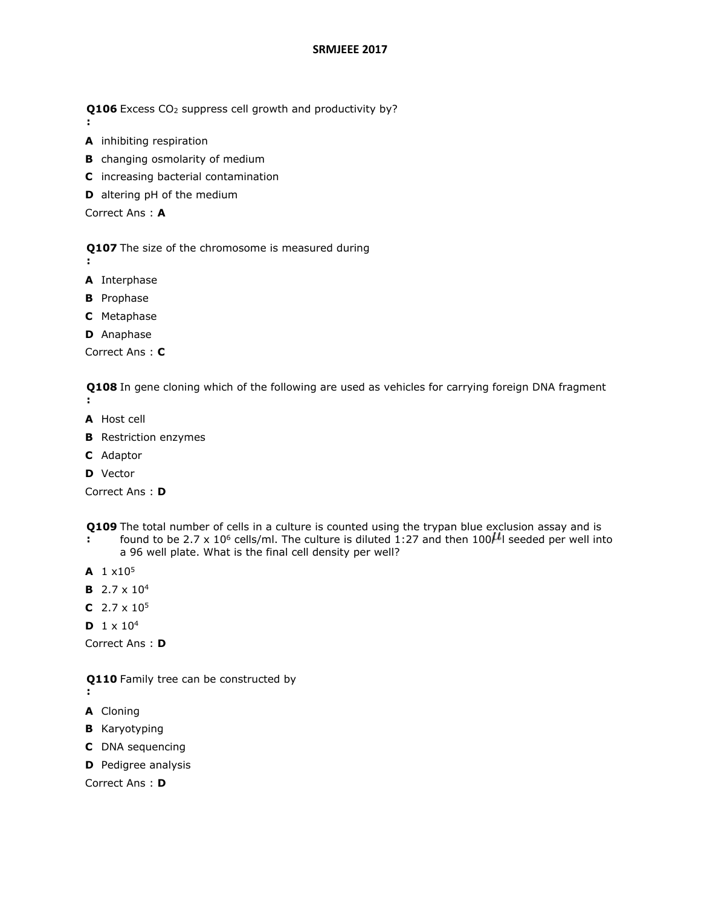**Q106** Excess CO<sub>2</sub> suppress cell growth and productivity by?

- **A** inhibiting respiration
- **B** changing osmolarity of medium
- **C** increasing bacterial contamination
- **D** altering pH of the medium

Correct Ans : **A**

**Q107**  The size of the chromosome is measured during

**:**

**:**

- **A** Interphase
- **B** Prophase
- **C** Metaphase
- **D** Anaphase

Correct Ans : **C**

**Q108**  In gene cloning which of the following are used as vehicles for carrying foreign DNA fragment **:**

- **A** Host cell
- **B** Restriction enzymes
- **C** Adaptor
- **D** Vector

Correct Ans : **D**

- **Q109**  The total number of cells in a culture is counted using the trypan blue exclusion assay and is
- **:** found to be 2.7 x 10<sup>6</sup> cells/ml. The culture is diluted 1:27 and then 100 $\mu$ l seeded per well into a 96 well plate. What is the final cell density per well?
- **A** 1 x10<sup>5</sup>
- **B** 2.7 x 10<sup>4</sup>
- **C** 2.7 x 10<sup>5</sup>
- **D**  $1 \times 10^4$

Correct Ans : **D**

- **Q110**  Family tree can be constructed by
- **:**
- **A** Cloning
- **B** Karyotyping
- **C** DNA sequencing
- **D** Pedigree analysis

Correct Ans : **D**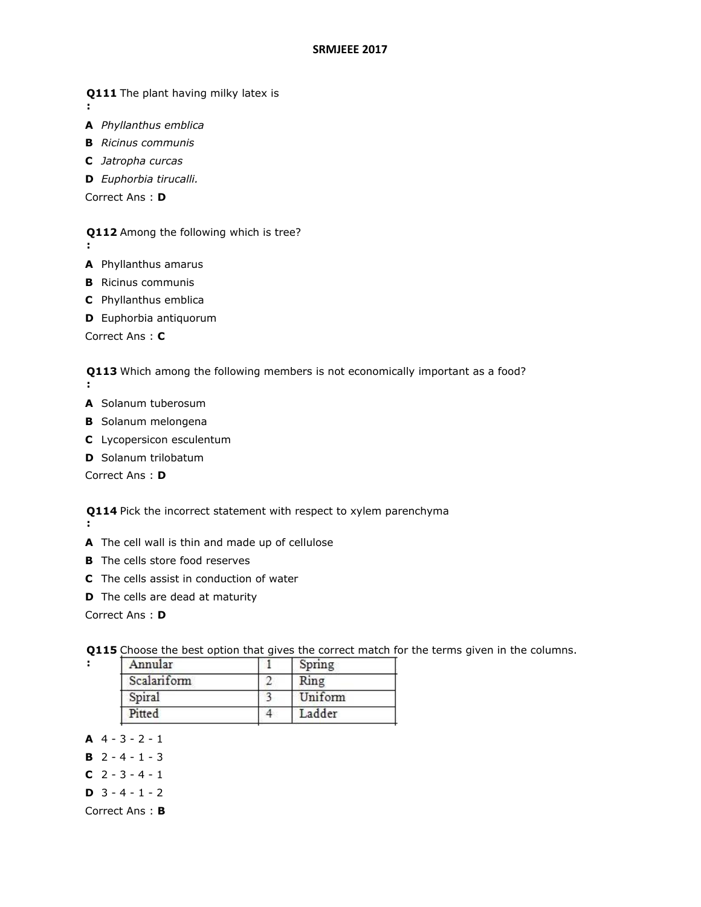**Q111**  The plant having milky latex is

**:**

**:**

- **A** *Phyllanthus emblica*
- **B** *Ricinus communis* **C** *Jatropha curcas*
- **D** *Euphorbia tirucalli.*

Correct Ans : **D**

**Q112**  Among the following which is tree?

- **A** Phyllanthus amarus
- **B** Ricinus communis
- **C** Phyllanthus emblica
- **D** Euphorbia antiquorum

Correct Ans : **C**

**Q113**  Which among the following members is not economically important as a food?

- **:**
- **A** Solanum tuberosum
- **B** Solanum melongena
- **C** Lycopersicon esculentum
- **D** Solanum trilobatum

Correct Ans : **D**

**Q114**  Pick the incorrect statement with respect to xylem parenchyma **:**

- **A** The cell wall is thin and made up of cellulose
- **B** The cells store food reserves
- **C** The cells assist in conduction of water
- **D** The cells are dead at maturity

Correct Ans : **D**

**:**

| Spring  |
|---------|
| Ring    |
| Uniform |
| Ladder  |
|         |

**Q115**  Choose the best option that gives the correct match for the terms given in the columns.

**A** 4 - 3 - 2 - 1

- **B** 2 4 1 3
- **C** 2 3 4 1
- **D** 3 4 1 2

Correct Ans : **B**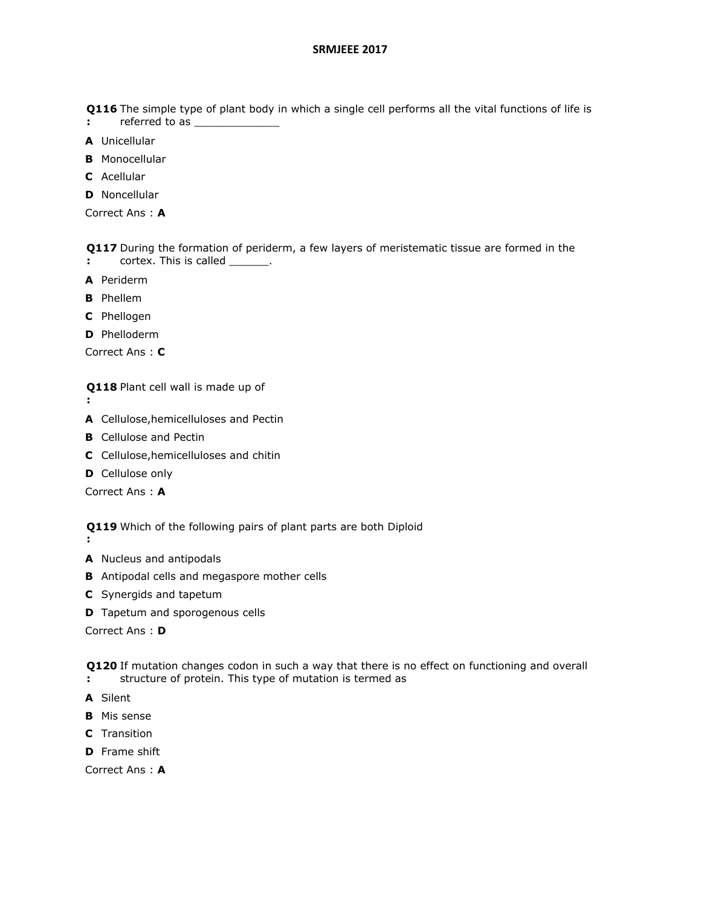**Q116**  The simple type of plant body in which a single cell performs all the vital functions of life is

- **:** referred to as \_\_\_\_\_\_\_\_\_\_\_\_\_
- **A** Unicellular
- **B** Monocellular
- **C** Acellular
- **D** Noncellular

Correct Ans : **A**

**Q117**  During the formation of periderm, a few layers of meristematic tissue are formed in the **:** cortex. This is called \_\_\_\_\_\_\_.

- **A** Periderm
- **B** Phellem
- **C** Phellogen
- **D** Phelloderm

Correct Ans : **C**

**Q118**  Plant cell wall is made up of

**:**

**:**

- **A** Cellulose,hemicelluloses and Pectin
- **B** Cellulose and Pectin
- **C** Cellulose,hemicelluloses and chitin
- **D** Cellulose only

Correct Ans : **A**

**Q119**  Which of the following pairs of plant parts are both Diploid

- **A** Nucleus and antipodals
- **B** Antipodal cells and megaspore mother cells
- **C** Synergids and tapetum
- **D** Tapetum and sporogenous cells

Correct Ans : **D**

**Q120**  If mutation changes codon in such a way that there is no effect on functioning and overall **:** structure of protein. This type of mutation is termed as

- **A** Silent
- **B** Mis sense
- **C** Transition
- **D** Frame shift

Correct Ans : **A**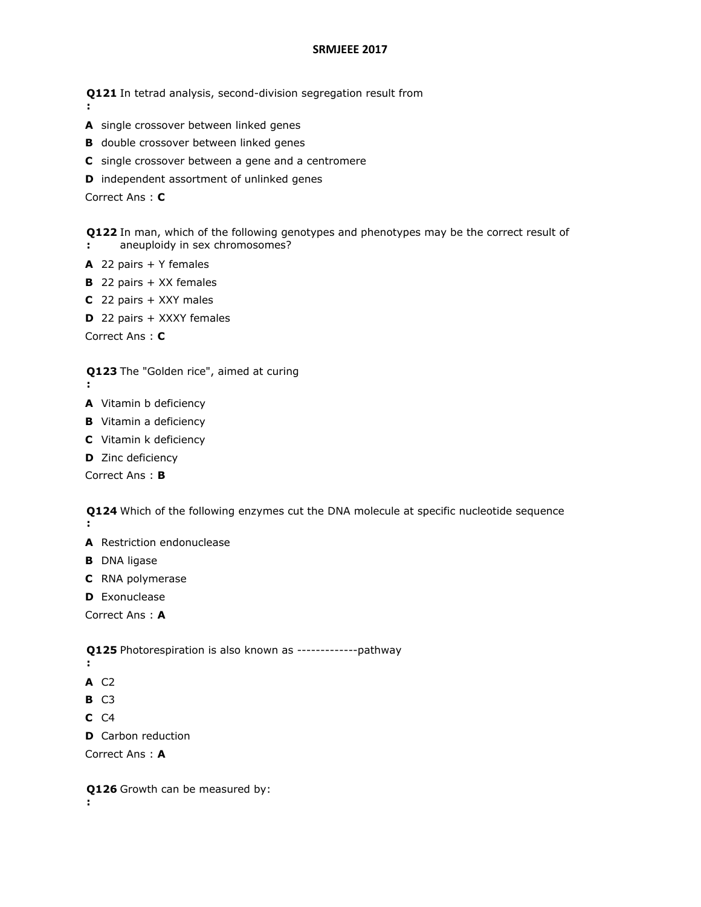**Q121**  In tetrad analysis, second-division segregation result from

- **A** single crossover between linked genes
- **B** double crossover between linked genes
- **C** single crossover between a gene and a centromere
- **D** independent assortment of unlinked genes

Correct Ans : **C**

**:**

**Q122**  In man, which of the following genotypes and phenotypes may be the correct result of **:** aneuploidy in sex chromosomes?

- **A** 22 pairs + Y females
- **B** 22 pairs + XX females
- **C** 22 pairs + XXY males
- **D** 22 pairs + XXXY females

Correct Ans : **C**

#### **Q123**  The "Golden rice", aimed at curing

- **:**
- **A** Vitamin b deficiency
- **B** Vitamin a deficiency
- **C** Vitamin k deficiency
- **D** Zinc deficiency

Correct Ans : **B**

**Q124**  Which of the following enzymes cut the DNA molecule at specific nucleotide sequence **:**

- **A** Restriction endonuclease
- **B** DNA ligase
- **C** RNA polymerase
- **D** Exonuclease

Correct Ans : **A**

**Q125**  Photorespiration is also known as -------------pathway

- **:**
- **A** C2
- **B** C3
- **C** C4
- **D** Carbon reduction

Correct Ans : **A**

**Q126**  Growth can be measured by:

**:**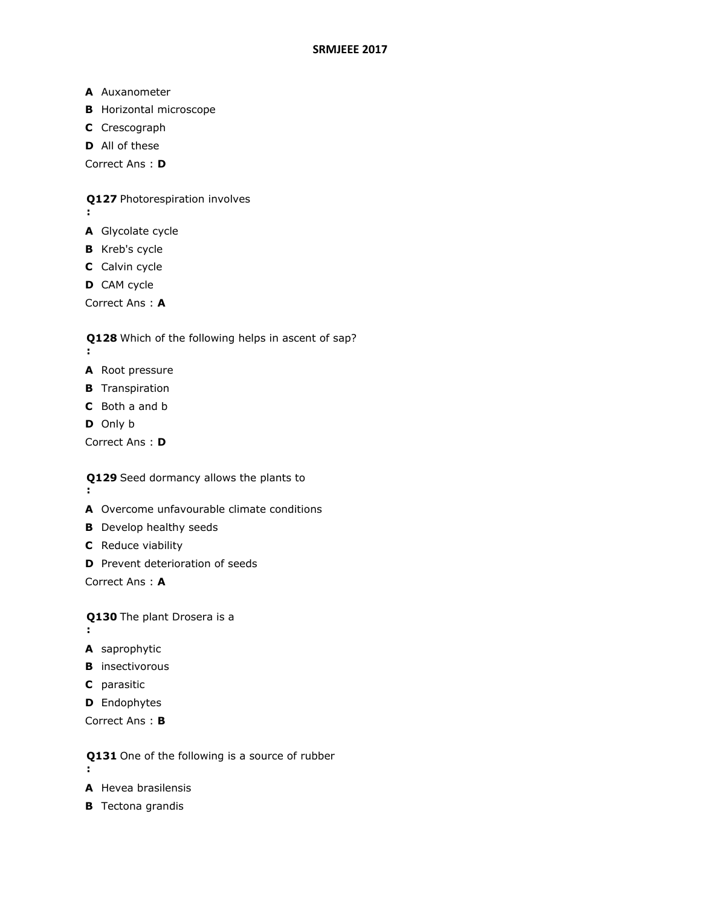- **A** Auxanometer
- **B** Horizontal microscope
- **C** Crescograph
- **D** All of these

Correct Ans : **D**

**Q127**  Photorespiration involves

- **:**
- **A** Glycolate cycle
- **B** Kreb's cycle
- **C** Calvin cycle
- **D** CAM cycle

Correct Ans : **A**

**Q128**  Which of the following helps in ascent of sap?

- **:**
- **A** Root pressure
- **B** Transpiration
- **C** Both a and b
- **D** Only b

Correct Ans : **D**

**Q129**  Seed dormancy allows the plants to

- **:**
- **A** Overcome unfavourable climate conditions
- **B** Develop healthy seeds
- **C** Reduce viability
- **D** Prevent deterioration of seeds

Correct Ans : **A**

**Q130**  The plant Drosera is a **:**

- **A** saprophytic
- **B** insectivorous
- **C** parasitic
- **D** Endophytes

Correct Ans : **B**

- **Q131**  One of the following is a source of rubber
- **:**
- **A** Hevea brasilensis
- **B** Tectona grandis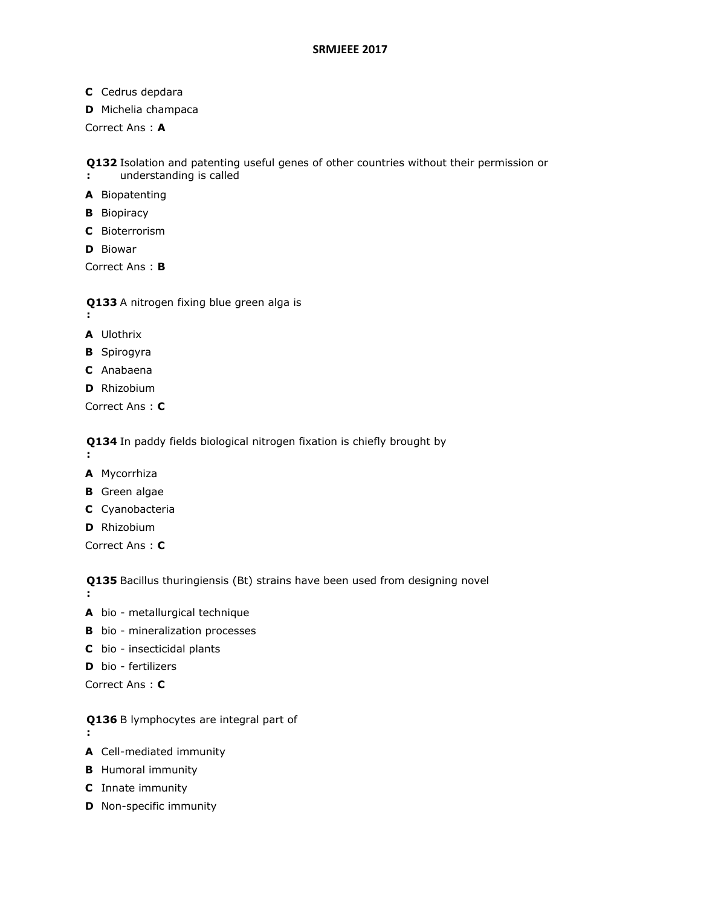- **C** Cedrus depdara
- **D** Michelia champaca

Correct Ans : **A**

**Q132**  Isolation and patenting useful genes of other countries without their permission or

- **:** understanding is called
- **A** Biopatenting
- **B** Biopiracy
- **C** Bioterrorism
- **D** Biowar

Correct Ans : **B**

**Q133**  A nitrogen fixing blue green alga is

- **:**
- **A** Ulothrix
- **B** Spirogyra
- **C** Anabaena
- **D** Rhizobium

Correct Ans : **C**

**Q134**  In paddy fields biological nitrogen fixation is chiefly brought by

- **:**
- **A** Mycorrhiza
- **B** Green algae
- **C** Cyanobacteria
- **D** Rhizobium

Correct Ans : **C**

**Q135**  Bacillus thuringiensis (Bt) strains have been used from designing novel

- **:**
- **A** bio metallurgical technique
- **B** bio mineralization processes
- **C** bio insecticidal plants
- **D** bio fertilizers

Correct Ans : **C**

- **Q136**  B lymphocytes are integral part of
- **:**
- **A** Cell-mediated immunity
- **B** Humoral immunity
- **C** Innate immunity
- **D** Non-specific immunity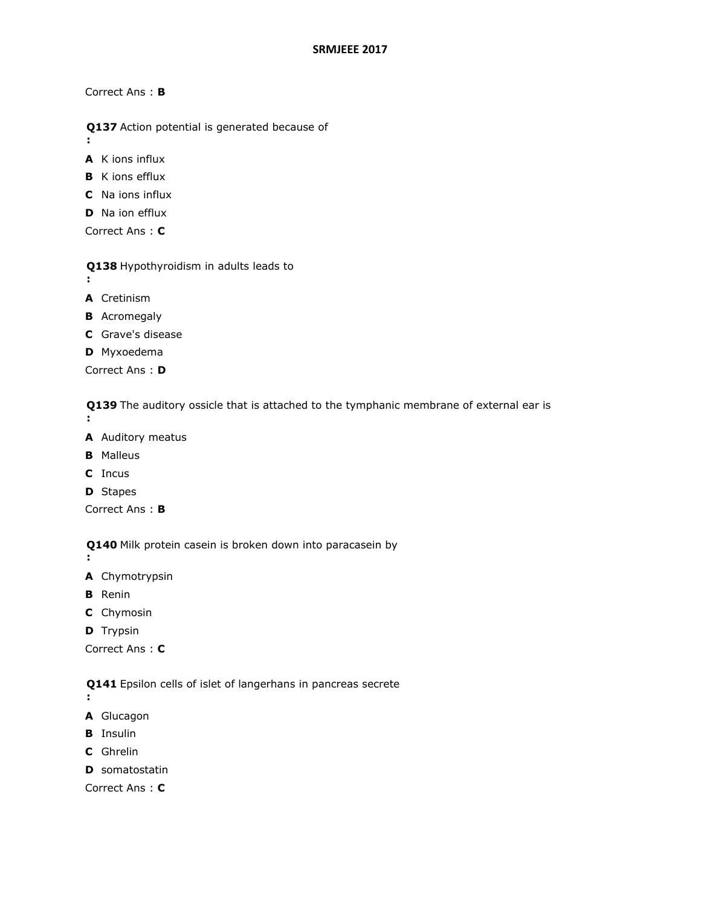Correct Ans : **B**

**Q137**  Action potential is generated because of

**A** K ions influx

- **B** K ions efflux
- **C** Na ions influx
- **D** Na ion efflux

Correct Ans : **C**

- **Q138**  Hypothyroidism in adults leads to
- **:**

**:**

- **A** Cretinism
- **B** Acromegaly
- **C** Grave's disease
- **D** Myxoedema

Correct Ans : **D**

**Q139**  The auditory ossicle that is attached to the tymphanic membrane of external ear is **:**

- **A** Auditory meatus
- **B** Malleus
- **C** Incus
- **D** Stapes

Correct Ans : **B**

**Q140**  Milk protein casein is broken down into paracasein by

- **A** Chymotrypsin
- **B** Renin

**:**

- **C** Chymosin
- **D** Trypsin

Correct Ans : **C**

**Q141**  Epsilon cells of islet of langerhans in pancreas secrete

- **:**
- **A** Glucagon
- **B** Insulin
- **C** Ghrelin
- **D** somatostatin

Correct Ans : **C**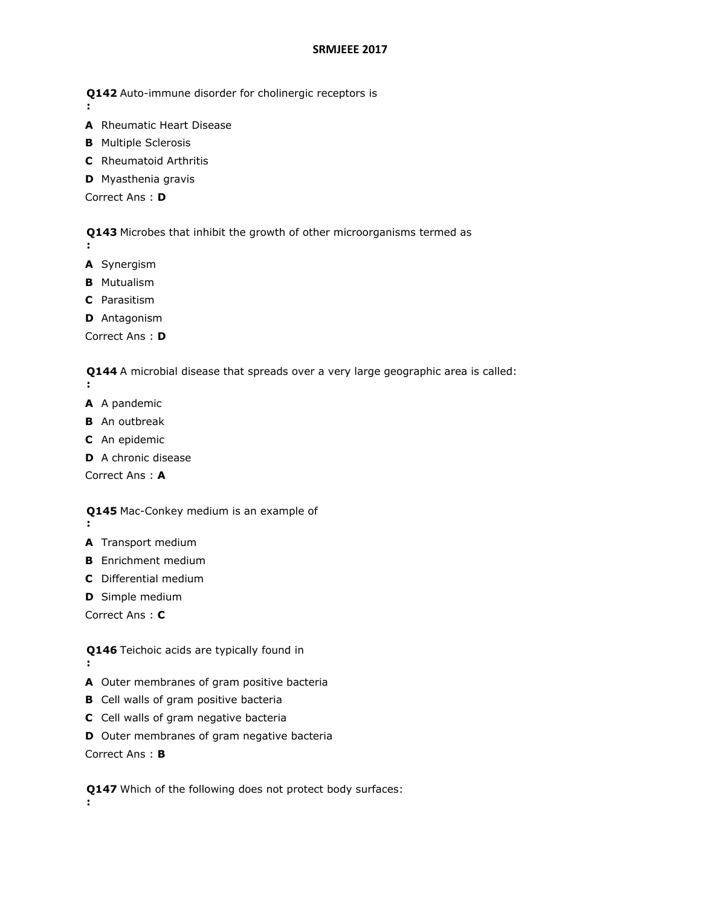- **Q142**  Auto-immune disorder for cholinergic receptors is **:**
- **A** Rheumatic Heart Disease
- **B** Multiple Sclerosis
- **C** Rheumatoid Arthritis
- **D** Myasthenia gravis

Correct Ans : **D**

**Q143**  Microbes that inhibit the growth of other microorganisms termed as

**A** Synergism

**:**

- **B** Mutualism
- **C** Parasitism
- **D** Antagonism

Correct Ans : **D**

**Q144**  A microbial disease that spreads over a very large geographic area is called:

- **:**
- **A** A pandemic
- **B** An outbreak
- **C** An epidemic
- **D** A chronic disease

Correct Ans : **A**

- **Q145**  Mac-Conkey medium is an example of
- **:**

**:**

- **A** Transport medium
- **B** Enrichment medium
- **C** Differential medium
- **D** Simple medium

Correct Ans : **C**

**Q146**  Teichoic acids are typically found in

- **A** Outer membranes of gram positive bacteria
- **B** Cell walls of gram positive bacteria
- **C** Cell walls of gram negative bacteria
- **D** Outer membranes of gram negative bacteria

Correct Ans : **B**

**Q147**  Which of the following does not protect body surfaces:**:**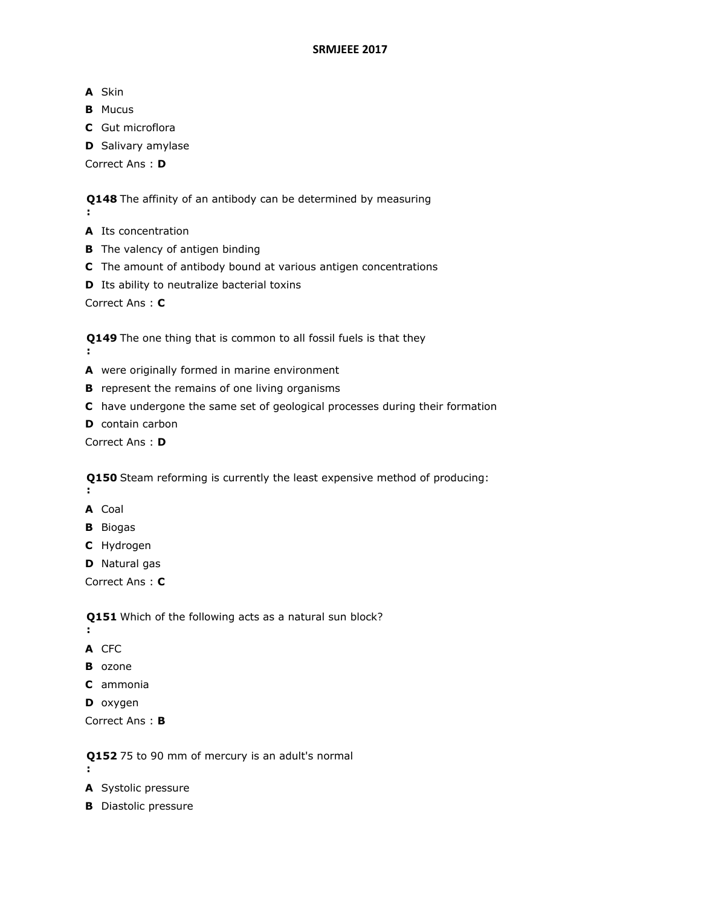**A** Skin

**:**

**:**

- **B** Mucus
- **C** Gut microflora
- **D** Salivary amylase

Correct Ans : **D**

**Q148**  The affinity of an antibody can be determined by measuring

- **A** Its concentration
- **B** The valency of antigen binding
- **C** The amount of antibody bound at various antigen concentrations
- **D** Its ability to neutralize bacterial toxins

Correct Ans : **C**

**Q149**  The one thing that is common to all fossil fuels is that they

- **A** were originally formed in marine environment
- **B** represent the remains of one living organisms
- **C** have undergone the same set of geological processes during their formation
- **D** contain carbon

Correct Ans : **D**

**Q150**  Steam reforming is currently the least expensive method of producing: **:**

- **A** Coal
- **B** Biogas
- **C** Hydrogen

**D** Natural gas

Correct Ans : **C**

**Q151**  Which of the following acts as a natural sun block?

- **:**
- **A** CFC
- **B** ozone
- **C** ammonia
- **D** oxygen

Correct Ans : **B**

**Q152**  75 to 90 mm of mercury is an adult's normal

- **:**
- **A** Systolic pressure
- **B** Diastolic pressure